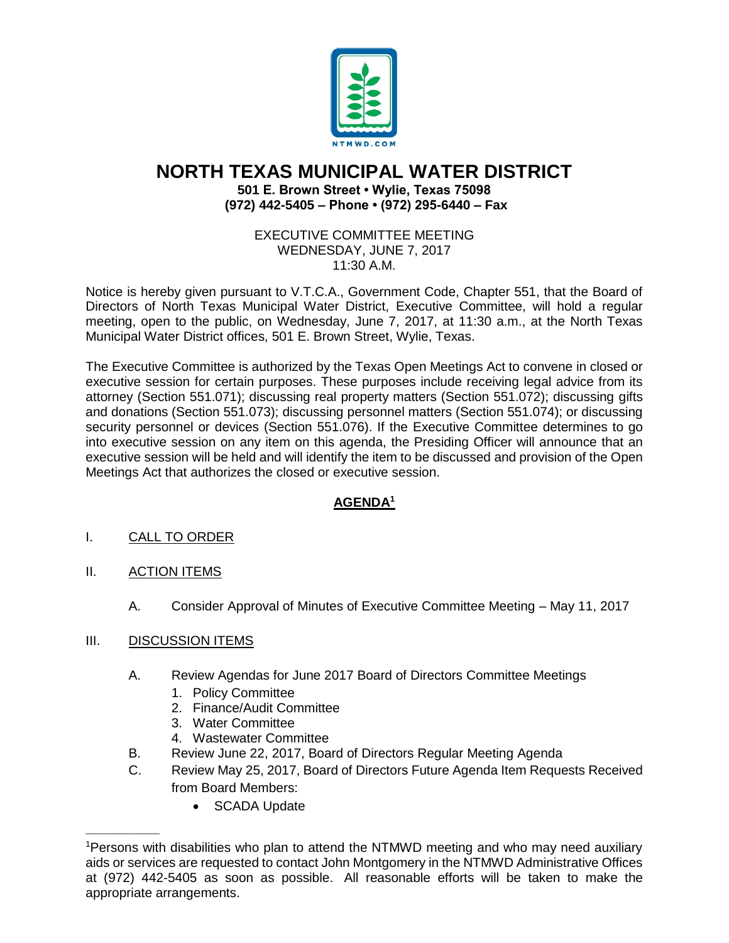

## **NORTH TEXAS MUNICIPAL WATER DISTRICT 501 E. Brown Street • Wylie, Texas 75098 (972) 442-5405 – Phone • (972) 295-6440 – Fax**

EXECUTIVE COMMITTEE MEETING WEDNESDAY, JUNE 7, 2017 11:30 A.M.

Notice is hereby given pursuant to V.T.C.A., Government Code, Chapter 551, that the Board of Directors of North Texas Municipal Water District, Executive Committee, will hold a regular meeting, open to the public, on Wednesday, June 7, 2017, at 11:30 a.m., at the North Texas Municipal Water District offices, 501 E. Brown Street, Wylie, Texas.

The Executive Committee is authorized by the Texas Open Meetings Act to convene in closed or executive session for certain purposes. These purposes include receiving legal advice from its attorney (Section 551.071); discussing real property matters (Section 551.072); discussing gifts and donations (Section 551.073); discussing personnel matters (Section 551.074); or discussing security personnel or devices (Section 551.076). If the Executive Committee determines to go into executive session on any item on this agenda, the Presiding Officer will announce that an executive session will be held and will identify the item to be discussed and provision of the Open Meetings Act that authorizes the closed or executive session.

## **AGENDA<sup>1</sup>**

- I. CALL TO ORDER
- II. ACTION ITEMS

 $\overline{\phantom{a}}$  ,  $\overline{\phantom{a}}$  ,  $\overline{\phantom{a}}$  ,  $\overline{\phantom{a}}$  ,  $\overline{\phantom{a}}$  ,  $\overline{\phantom{a}}$  ,  $\overline{\phantom{a}}$  ,  $\overline{\phantom{a}}$  ,  $\overline{\phantom{a}}$  ,  $\overline{\phantom{a}}$  ,  $\overline{\phantom{a}}$  ,  $\overline{\phantom{a}}$  ,  $\overline{\phantom{a}}$  ,  $\overline{\phantom{a}}$  ,  $\overline{\phantom{a}}$  ,  $\overline{\phantom{a}}$ 

- A. Consider Approval of Minutes of Executive Committee Meeting May 11, 2017
- III. DISCUSSION ITEMS
	- A. Review Agendas for June 2017 Board of Directors Committee Meetings
		- 1. Policy Committee
		- 2. Finance/Audit Committee
		- 3. Water Committee
		- 4. Wastewater Committee
	- B. Review June 22, 2017, Board of Directors Regular Meeting Agenda
	- C. Review May 25, 2017, Board of Directors Future Agenda Item Requests Received from Board Members:
		- SCADA Update

<sup>1</sup>Persons with disabilities who plan to attend the NTMWD meeting and who may need auxiliary aids or services are requested to contact John Montgomery in the NTMWD Administrative Offices at (972) 442-5405 as soon as possible. All reasonable efforts will be taken to make the appropriate arrangements.